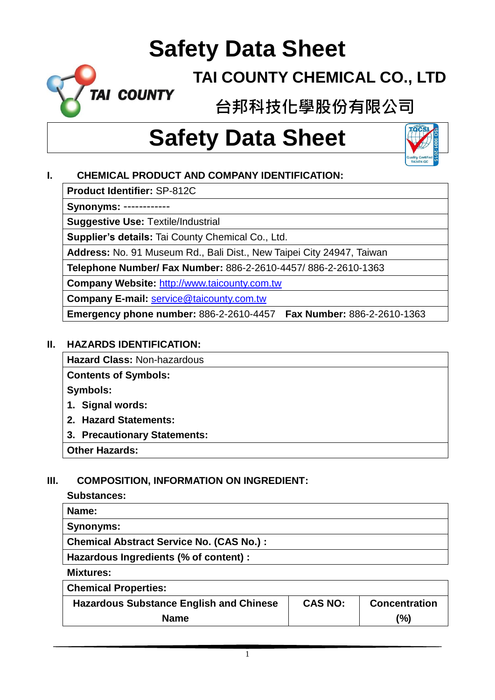### **TAI COUNTY CHEMICAL CO., LTD**

**台邦科技化學股份有限公司**

# **Safety Data Sheet**



#### **I. CHEMICAL PRODUCT AND COMPANY IDENTIFICATION:**

**Product Identifier:** SP-812C

**TAI COUNTY** 

**Synonyms:** ------------

**Suggestive Use:** Textile/Industrial

**Supplier's details:** Tai County Chemical Co., Ltd.

**Address:** No. 91 Museum Rd., Bali Dist., New Taipei City 24947, Taiwan

**Telephone Number/ Fax Number:** 886-2-2610-4457/ 886-2-2610-1363

**Company Website:** [http://www.taicounty.com.tw](http://www.taicounty.com.tw/)

**Company E-mail:** [service@taicounty.com.tw](mailto:service@taicounty.com.tw)

**Emergency phone number:** 886-2-2610-4457 **Fax Number:** 886-2-2610-1363

#### **II. HAZARDS IDENTIFICATION:**

**Hazard Class:** Non-hazardous

**Contents of Symbols:**

**Symbols:**

- **1. Signal words:**
- **2. Hazard Statements:**
- **3. Precautionary Statements:**

**Other Hazards:**

#### **III. COMPOSITION, INFORMATION ON INGREDIENT:**

#### **Substances:**

| Name:                                           |
|-------------------------------------------------|
| <b>Synonyms:</b>                                |
| <b>Chemical Abstract Service No. (CAS No.):</b> |
| Hazardous Ingredients (% of content) :          |
| <b>Mississons</b> .                             |

**Mixtures:**

| <b>Hazardous Substance English and Chinese</b> | <b>CAS NO:</b> | <b>Concentration</b> |
|------------------------------------------------|----------------|----------------------|
| <b>Name</b>                                    |                | (%)                  |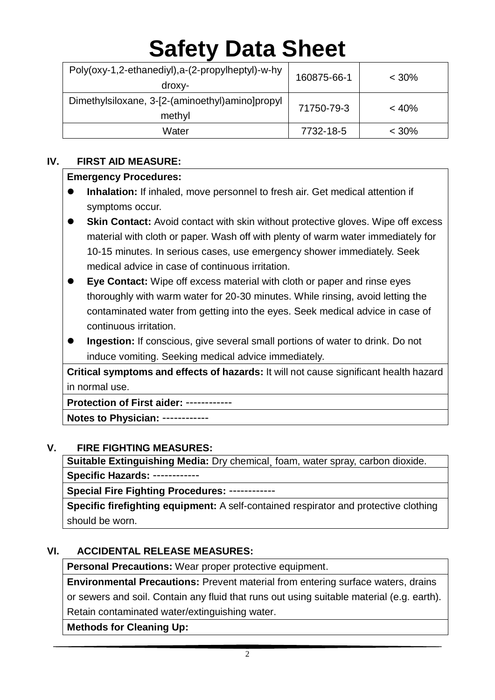| Poly(oxy-1,2-ethanediyl),a-(2-propylheptyl)-w-hy<br>droxy- | 160875-66-1 | $< 30\%$ |
|------------------------------------------------------------|-------------|----------|
| Dimethylsiloxane, 3-[2-(aminoethyl)amino]propyl<br>methyl  | 71750-79-3  | < 40%    |
| Water                                                      | 7732-18-5   | $< 30\%$ |

#### **IV. FIRST AID MEASURE:**

#### **Emergency Procedures:**

- **Inhalation:** If inhaled, move personnel to fresh air. Get medical attention if symptoms occur.
- **Skin Contact:** Avoid contact with skin without protective gloves. Wipe off excess material with cloth or paper. Wash off with plenty of warm water immediately for 10-15 minutes. In serious cases, use emergency shower immediately. Seek medical advice in case of continuous irritation.
- **Eye Contact:** Wipe off excess material with cloth or paper and rinse eyes thoroughly with warm water for 20-30 minutes. While rinsing, avoid letting the contaminated water from getting into the eyes. Seek medical advice in case of continuous irritation.
- **Ingestion:** If conscious, give several small portions of water to drink. Do not induce vomiting. Seeking medical advice immediately.

**Critical symptoms and effects of hazards:** It will not cause significant health hazard in normal use.

**Protection of First aider:** ------------

**Notes to Physician:** ------------

#### **V. FIRE FIGHTING MEASURES:**

**Suitable Extinguishing Media:** Dry chemical¸ foam, water spray, carbon dioxide. **Specific Hazards:** ------------

**Special Fire Fighting Procedures:** ------------

**Specific firefighting equipment:** A self-contained respirator and protective clothing should be worn.

#### **VI. ACCIDENTAL RELEASE MEASURES:**

**Personal Precautions:** Wear proper protective equipment.

**Environmental Precautions:** Prevent material from entering surface waters, drains

or sewers and soil. Contain any fluid that runs out using suitable material (e.g. earth). Retain contaminated water/extinguishing water.

**Methods for Cleaning Up:**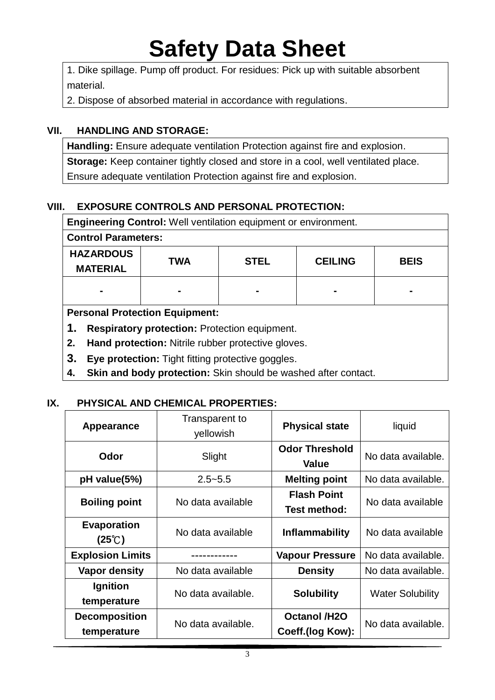1. Dike spillage. Pump off product. For residues: Pick up with suitable absorbent material.

2. Dispose of absorbed material in accordance with regulations.

#### **VII. HANDLING AND STORAGE:**

**Handling:** Ensure adequate ventilation Protection against fire and explosion. **Storage:** Keep container tightly closed and store in a cool, well ventilated place. Ensure adequate ventilation Protection against fire and explosion.

#### **VIII. EXPOSURE CONTROLS AND PERSONAL PROTECTION:**

| <b>Engineering Control:</b> Well ventilation equipment or environment. |     |             |                |             |
|------------------------------------------------------------------------|-----|-------------|----------------|-------------|
| <b>Control Parameters:</b>                                             |     |             |                |             |
| <b>HAZARDOUS</b><br><b>MATERIAL</b>                                    | TWA | <b>STEL</b> | <b>CEILING</b> | <b>BEIS</b> |
| $\blacksquare$                                                         |     |             |                |             |
| <b>Personal Protection Equipment:</b>                                  |     |             |                |             |
| 1.<br><b>Respiratory protection: Protection equipment.</b>             |     |             |                |             |
| Hand protection: Nitrile rubber protective gloves.<br>2.               |     |             |                |             |

- **3. Eye protection:** Tight fitting protective goggles.
- **4. Skin and body protection:** Skin should be washed after contact.

#### **IX. PHYSICAL AND CHEMICAL PROPERTIES:**

| Appearance                            | Transparent to<br>yellowish | <b>Physical state</b>                     | liquid                  |
|---------------------------------------|-----------------------------|-------------------------------------------|-------------------------|
| Odor                                  | Slight                      | <b>Odor Threshold</b><br><b>Value</b>     | No data available.      |
| pH value(5%)                          | $2.5 - 5.5$                 | <b>Melting point</b>                      |                         |
| <b>Boiling point</b>                  | No data available           | <b>Flash Point</b><br><b>Test method:</b> | No data available       |
| <b>Evaporation</b><br>$(25^{\circ}C)$ | No data available           | <b>Inflammability</b>                     | No data available       |
| <b>Explosion Limits</b>               |                             | <b>Vapour Pressure</b>                    | No data available.      |
| <b>Vapor density</b>                  | No data available           | <b>Density</b>                            | No data available.      |
| <b>Ignition</b><br>temperature        | No data available.          | <b>Solubility</b>                         | <b>Water Solubility</b> |
| <b>Decomposition</b><br>temperature   | No data available.          | <b>Octanol /H2O</b><br>Coeff.(log Kow):   | No data available.      |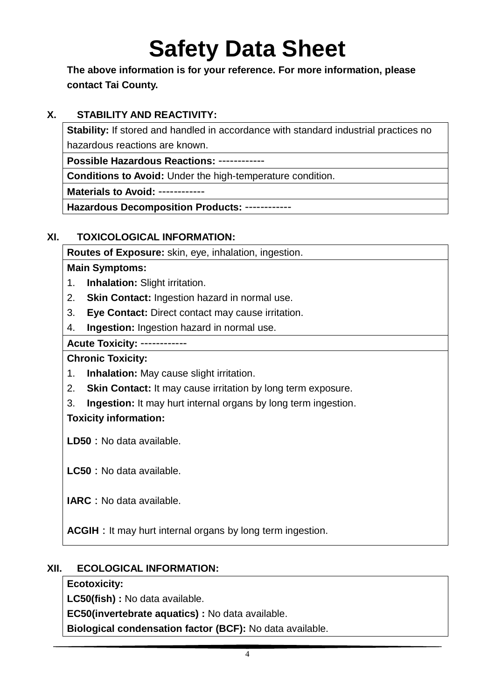**The above information is for your reference. For more information, please contact Tai County.**

#### **X. STABILITY AND REACTIVITY:**

**Stability:** If stored and handled in accordance with standard industrial practices no hazardous reactions are known.

**Possible Hazardous Reactions:** ------------

**Conditions to Avoid:** Under the high-temperature condition.

**Materials to Avoid:** ------------

**Hazardous Decomposition Products:** ------------

#### **XI. TOXICOLOGICAL INFORMATION:**

**Routes of Exposure:** skin, eye, inhalation, ingestion.

#### **Main Symptoms:**

- 1. **Inhalation:** Slight irritation.
- 2. **Skin Contact:** Ingestion hazard in normal use.
- 3. **Eye Contact:** Direct contact may cause irritation.
- 4. **Ingestion:** Ingestion hazard in normal use.

**Acute Toxicity:** ------------

#### **Chronic Toxicity:**

- 1. **Inhalation:** May cause slight irritation.
- 2. **Skin Contact:** It may cause irritation by long term exposure.
- 3. **Ingestion:** It may hurt internal organs by long term ingestion.

#### **Toxicity information:**

**LD50:**No data available.

**LC50:**No data available.

**IARC:**No data available.

**ACGIH** : It may hurt internal organs by long term ingestion.

#### **XII. ECOLOGICAL INFORMATION:**

#### **Ecotoxicity:**

**LC50(fish) :** No data available.

**EC50(invertebrate aquatics) :** No data available.

**Biological condensation factor (BCF):** No data available.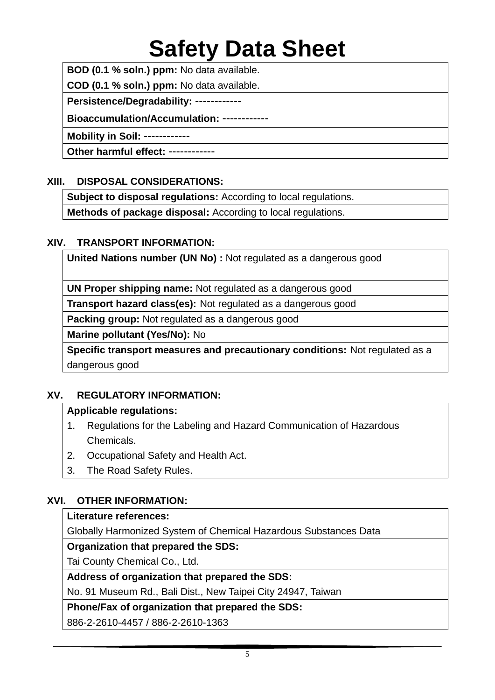**BOD (0.1 % soln.) ppm:** No data available.

**COD (0.1 % soln.) ppm:** No data available.

**Persistence/Degradability:** ------------

**Bioaccumulation/Accumulation:** ------------

**Mobility in Soil:** ------------

**Other harmful effect:** ------------

#### **XIII. DISPOSAL CONSIDERATIONS:**

**Subject to disposal regulations:** According to local regulations.

**Methods of package disposal:** According to local regulations.

#### **XIV. TRANSPORT INFORMATION:**

**United Nations number (UN No) :** Not regulated as a dangerous good

**UN Proper shipping name:** Not regulated as a dangerous good

**Transport hazard class(es):** Not regulated as a dangerous good

**Packing group:** Not regulated as a dangerous good

**Marine pollutant (Yes/No):** No

**Specific transport measures and precautionary conditions:** Not regulated as a dangerous good

#### **XV. REGULATORY INFORMATION:**

#### **Applicable regulations:**

- 1. Regulations for the Labeling and Hazard Communication of Hazardous Chemicals.
- 2. Occupational Safety and Health Act.
- 3. The Road Safety Rules.

#### **XVI. OTHER INFORMATION:**

#### **Literature references:**

Globally Harmonized System of Chemical Hazardous Substances Data

#### **Organization that prepared the SDS:**

Tai County Chemical Co., Ltd.

#### **Address of organization that prepared the SDS:**

No. 91 Museum Rd., Bali Dist., New Taipei City 24947, Taiwan

#### **Phone/Fax of organization that prepared the SDS:**

886-2-2610-4457 / 886-2-2610-1363